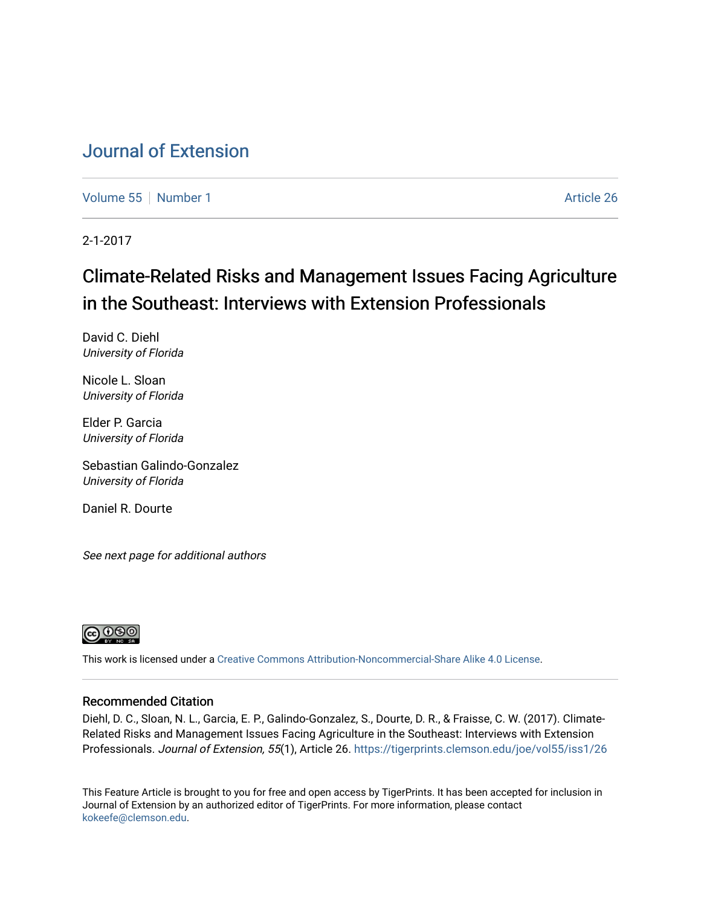# [Journal of Extension](https://tigerprints.clemson.edu/joe)

[Volume 55](https://tigerprints.clemson.edu/joe/vol55) [Number 1](https://tigerprints.clemson.edu/joe/vol55/iss1) Article 26

2-1-2017

# Climate-Related Risks and Management Issues Facing Agriculture in the Southeast: Interviews with Extension Professionals

David C. Diehl University of Florida

Nicole L. Sloan University of Florida

Elder P. Garcia University of Florida

Sebastian Galindo-Gonzalez University of Florida

Daniel R. Dourte

See next page for additional authors



This work is licensed under a [Creative Commons Attribution-Noncommercial-Share Alike 4.0 License.](https://creativecommons.org/licenses/by-nc-sa/4.0/)

#### Recommended Citation

Diehl, D. C., Sloan, N. L., Garcia, E. P., Galindo-Gonzalez, S., Dourte, D. R., & Fraisse, C. W. (2017). Climate-Related Risks and Management Issues Facing Agriculture in the Southeast: Interviews with Extension Professionals. Journal of Extension, 55(1), Article 26. https://tigerprints.clemson.edu/joe/vol55/iss1/26

This Feature Article is brought to you for free and open access by TigerPrints. It has been accepted for inclusion in Journal of Extension by an authorized editor of TigerPrints. For more information, please contact [kokeefe@clemson.edu](mailto:kokeefe@clemson.edu).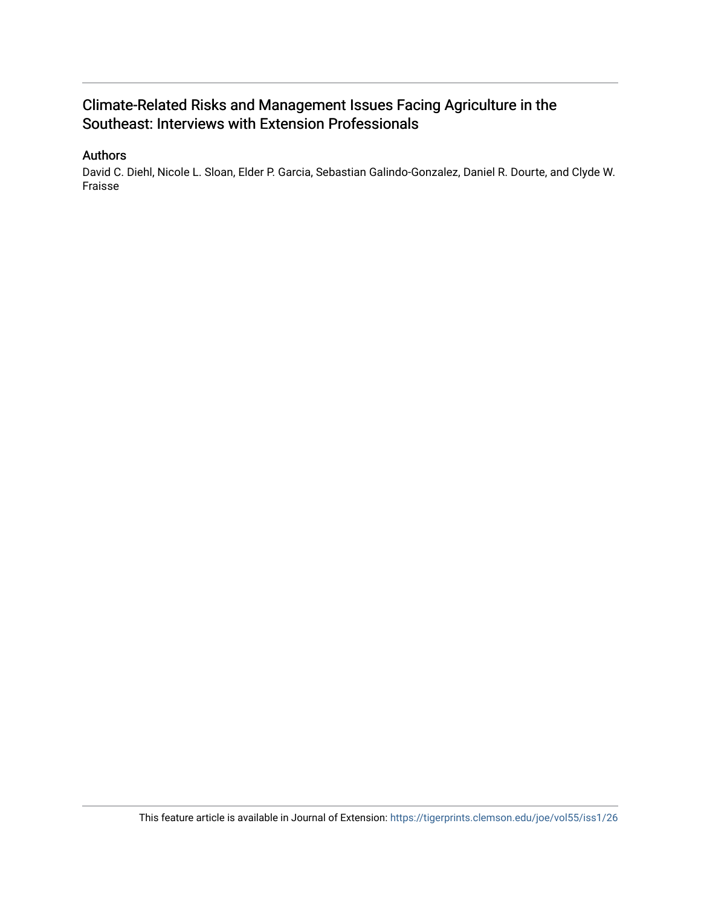## Climate-Related Risks and Management Issues Facing Agriculture in the Southeast: Interviews with Extension Professionals

#### Authors

David C. Diehl, Nicole L. Sloan, Elder P. Garcia, Sebastian Galindo-Gonzalez, Daniel R. Dourte, and Clyde W. Fraisse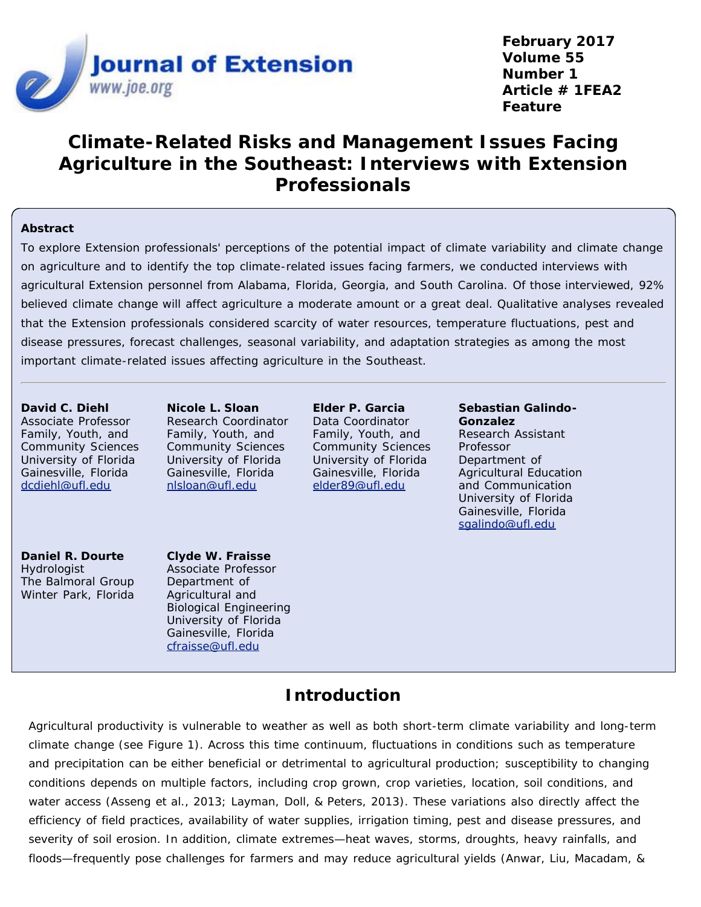

**February 2017 Volume 55 Number 1 Article # 1FEA2 Feature**

# **Climate-Related Risks and Management Issues Facing Agriculture in the Southeast: Interviews with Extension Professionals**

#### **Abstract**

To explore Extension professionals' perceptions of the potential impact of climate variability and climate change on agriculture and to identify the top climate-related issues facing farmers, we conducted interviews with agricultural Extension personnel from Alabama, Florida, Georgia, and South Carolina. Of those interviewed, 92% believed climate change will affect agriculture a moderate amount or a great deal. Qualitative analyses revealed that the Extension professionals considered scarcity of water resources, temperature fluctuations, pest and disease pressures, forecast challenges, seasonal variability, and adaptation strategies as among the most important climate-related issues affecting agriculture in the Southeast.

**David C. Diehl** Associate Professor Family, Youth, and Community Sciences University of Florida Gainesville, Florida [dcdiehl@ufl.edu](mailto:dcdiehl@ufl.edu)

**Nicole L. Sloan** Research Coordinator Family, Youth, and Community Sciences University of Florida Gainesville, Florida [nlsloan@ufl.edu](mailto:nlsloan@ufl.edu)

**Elder P. Garcia** Data Coordinator Family, Youth, and Community Sciences University of Florida Gainesville, Florida [elder89@ufl.edu](mailto:elder89@ufl.edu)

**Sebastian Galindo-Gonzalez** Research Assistant Professor Department of Agricultural Education and Communication University of Florida Gainesville, Florida [sgalindo@ufl.edu](mailto:sgalindo@ufl.edu)

**Daniel R. Dourte Hydrologist** The Balmoral Group Winter Park, Florida

**Clyde W. Fraisse**

Associate Professor Department of Agricultural and Biological Engineering University of Florida Gainesville, Florida [cfraisse@ufl.edu](mailto:cfraisse@ufl.edu)

## **Introduction**

Agricultural productivity is vulnerable to weather as well as both short-term climate variability and long-term climate change (see Figure 1). Across this time continuum, fluctuations in conditions such as temperature and precipitation can be either beneficial or detrimental to agricultural production; susceptibility to changing conditions depends on multiple factors, including crop grown, crop varieties, location, soil conditions, and water access (Asseng et al., 2013; Layman, Doll, & Peters, 2013). These variations also directly affect the efficiency of field practices, availability of water supplies, irrigation timing, pest and disease pressures, and severity of soil erosion. In addition, climate extremes—heat waves, storms, droughts, heavy rainfalls, and floods—frequently pose challenges for farmers and may reduce agricultural yields (Anwar, Liu, Macadam, &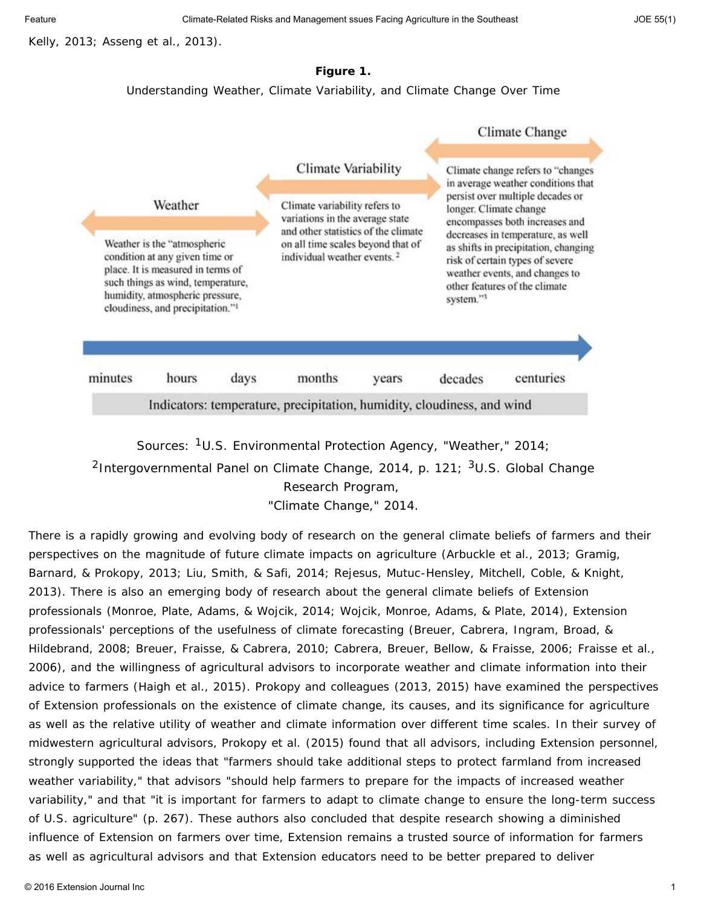Kelly, 2013; Asseng et al., 2013).

#### **Figure 1.**

Understanding Weather, Climate Variability, and Climate Change Over Time



Sources: 1U.S. Environmental Protection Agency, "Weather," 2014; <sup>2</sup>Intergovernmental Panel on Climate Change, 2014, p. 121;  $3U.S.$  Global Change Research Program, "Climate Change," 2014.

There is a rapidly growing and evolving body of research on the general climate beliefs of farmers and their perspectives on the magnitude of future climate impacts on agriculture (Arbuckle et al., 2013; Gramig, Barnard, & Prokopy, 2013; Liu, Smith, & Safi, 2014; Rejesus, Mutuc-Hensley, Mitchell, Coble, & Knight, 2013). There is also an emerging body of research about the general climate beliefs of Extension professionals (Monroe, Plate, Adams, & Wojcik, 2014; Wojcik, Monroe, Adams, & Plate, 2014), Extension professionals' perceptions of the usefulness of climate forecasting (Breuer, Cabrera, Ingram, Broad, & Hildebrand, 2008; Breuer, Fraisse, & Cabrera, 2010; Cabrera, Breuer, Bellow, & Fraisse, 2006; Fraisse et al., 2006), and the willingness of agricultural advisors to incorporate weather and climate information into their advice to farmers (Haigh et al., 2015). Prokopy and colleagues (2013, 2015) have examined the perspectives of Extension professionals on the existence of climate change, its causes, and its significance for agriculture as well as the relative utility of weather and climate information over different time scales. In their survey of midwestern agricultural advisors, Prokopy et al. (2015) found that all advisors, including Extension personnel, strongly supported the ideas that "farmers should take additional steps to protect farmland from increased weather variability," that advisors "should help farmers to prepare for the impacts of increased weather variability," and that "it is important for farmers to adapt to climate change to ensure the long-term success of U.S. agriculture" (p. 267). These authors also concluded that despite research showing a diminished influence of Extension on farmers over time, Extension remains a trusted source of information for farmers as well as agricultural advisors and that Extension educators need to be better prepared to deliver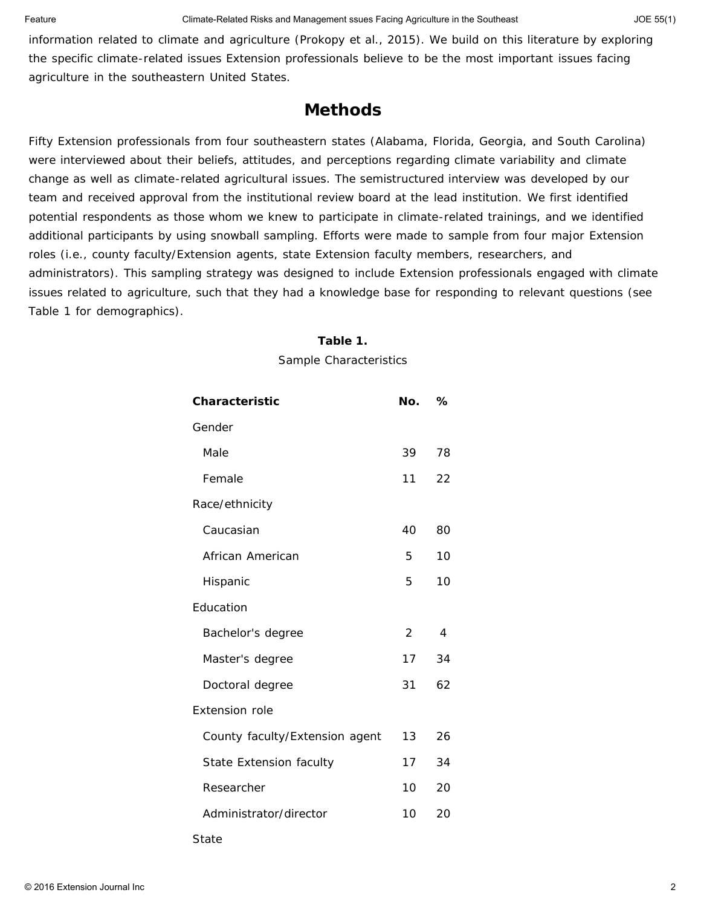information related to climate and agriculture (Prokopy et al., 2015). We build on this literature by exploring the specific climate-related issues Extension professionals believe to be the most important issues facing agriculture in the southeastern United States.

### **Methods**

Fifty Extension professionals from four southeastern states (Alabama, Florida, Georgia, and South Carolina) were interviewed about their beliefs, attitudes, and perceptions regarding climate variability and climate change as well as climate-related agricultural issues. The semistructured interview was developed by our team and received approval from the institutional review board at the lead institution. We first identified potential respondents as those whom we knew to participate in climate-related trainings, and we identified additional participants by using snowball sampling. Efforts were made to sample from four major Extension roles (i.e., county faculty/Extension agents, state Extension faculty members, researchers, and administrators). This sampling strategy was designed to include Extension professionals engaged with climate issues related to agriculture, such that they had a knowledge base for responding to relevant questions (see Table 1 for demographics).

#### **Table 1.**

Sample Characteristics

| <b>Characteristic</b>          | No. | ℅              |
|--------------------------------|-----|----------------|
| Gender                         |     |                |
| Male                           | 39  | 78             |
| Female                         | 11  | 22             |
| Race/ethnicity                 |     |                |
| Caucasian                      | 40  | 80             |
| African American               | 5   | 10             |
| Hispanic                       | 5   | 10             |
| Education                      |     |                |
| Bachelor's degree              | 2   | $\overline{4}$ |
| Master's degree                | 17  | 34             |
| Doctoral degree                | 31  | 62             |
| <b>Extension role</b>          |     |                |
| County faculty/Extension agent | 13  | 26             |
| State Extension faculty        | 17  | 34             |
| Researcher                     | 10  | 20             |
| Administrator/director         | 10  | 20             |
| State                          |     |                |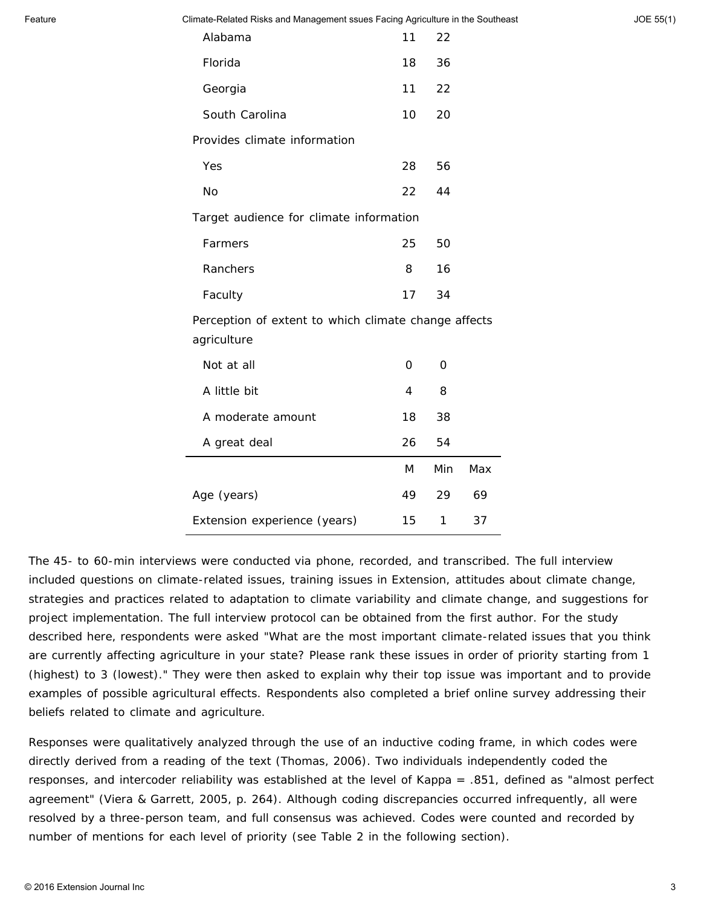Feature **Climate-Related Risks and Management ssues Facing Agriculture in the Southeast** Journal School 55, 1990

| JOE 55(1) |  |  |
|-----------|--|--|
|-----------|--|--|

| Alabama                                                             | 11 | 22  |     |  |
|---------------------------------------------------------------------|----|-----|-----|--|
| Florida                                                             | 18 | 36  |     |  |
| Georgia                                                             | 11 | 22  |     |  |
| South Carolina                                                      | 10 | 20  |     |  |
| Provides climate information                                        |    |     |     |  |
| Yes                                                                 | 28 | 56  |     |  |
| <b>No</b>                                                           | 22 | 44  |     |  |
| Target audience for climate information                             |    |     |     |  |
| Farmers                                                             | 25 | 50  |     |  |
| Ranchers                                                            | 8  | 16  |     |  |
| Faculty                                                             | 17 | 34  |     |  |
| Perception of extent to which climate change affects<br>agriculture |    |     |     |  |
| Not at all                                                          | 0  | 0   |     |  |
| A little bit                                                        | 4  | 8   |     |  |
| A moderate amount                                                   | 18 | 38  |     |  |
| A great deal                                                        | 26 | 54  |     |  |
|                                                                     | M  | Min | Max |  |
| Age (years)                                                         | 49 | 29  | 69  |  |
| Extension experience (years)                                        | 15 | 1   | 37  |  |

The 45- to 60-min interviews were conducted via phone, recorded, and transcribed. The full interview included questions on climate-related issues, training issues in Extension, attitudes about climate change, strategies and practices related to adaptation to climate variability and climate change, and suggestions for project implementation. The full interview protocol can be obtained from the first author. For the study described here, respondents were asked "What are the most important climate-related issues that you think are currently affecting agriculture in your state? Please rank these issues in order of priority starting from 1 (highest) to 3 (lowest)." They were then asked to explain why their top issue was important and to provide examples of possible agricultural effects. Respondents also completed a brief online survey addressing their beliefs related to climate and agriculture.

Responses were qualitatively analyzed through the use of an inductive coding frame, in which codes were directly derived from a reading of the text (Thomas, 2006). Two individuals independently coded the responses, and intercoder reliability was established at the level of Kappa = .851, defined as "almost perfect agreement" (Viera & Garrett, 2005, p. 264). Although coding discrepancies occurred infrequently, all were resolved by a three-person team, and full consensus was achieved. Codes were counted and recorded by number of mentions for each level of priority (see Table 2 in the following section).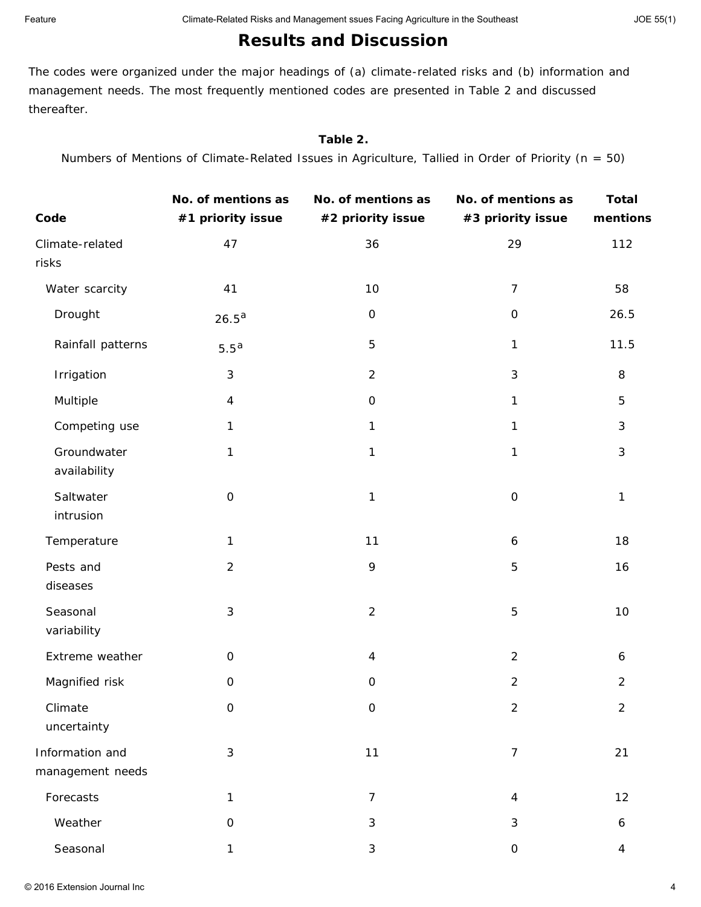## **Results and Discussion**

The codes were organized under the major headings of (a) climate-related risks and (b) information and management needs. The most frequently mentioned codes are presented in Table 2 and discussed thereafter.

#### **Table 2.**

Numbers of Mentions of Climate-Related Issues in Agriculture, Tallied in Order of Priority (*n* = 50)

| Code                                | No. of mentions as<br>#1 priority issue | No. of mentions as<br>#2 priority issue | No. of mentions as<br>#3 priority issue | <b>Total</b><br>mentions |
|-------------------------------------|-----------------------------------------|-----------------------------------------|-----------------------------------------|--------------------------|
| Climate-related<br>risks            | 47                                      | 36                                      | 29                                      | 112                      |
| Water scarcity                      | 41                                      | 10                                      | $\overline{7}$                          | 58                       |
| Drought                             | $26.5^{\text{a}}$                       | $\mathsf O$                             | $\mbox{O}$                              | 26.5                     |
| Rainfall patterns                   | 5.5 <sup>a</sup>                        | $\overline{5}$                          | 1                                       | 11.5                     |
| Irrigation                          | $\sqrt{3}$                              | $\overline{2}$                          | $\sqrt{3}$                              | 8                        |
| Multiple                            | $\overline{4}$                          | $\mathsf O$                             | $\mathbf{1}$                            | 5                        |
| Competing use                       | $\mathbf{1}$                            | 1                                       | 1                                       | 3                        |
| Groundwater<br>availability         | 1                                       | 1                                       | 1                                       | 3                        |
| Saltwater<br>intrusion              | $\mathbf 0$                             | $\mathbf{1}$                            | $\mbox{O}$                              | 1                        |
| Temperature                         | $\mathbf{1}$                            | 11                                      | 6                                       | 18                       |
| Pests and<br>diseases               | $\overline{2}$                          | 9                                       | 5                                       | 16                       |
| Seasonal<br>variability             | $\mathfrak{Z}$                          | $\overline{2}$                          | 5                                       | 10                       |
| Extreme weather                     | $\mathsf{O}\xspace$                     | $\overline{4}$                          | $\overline{2}$                          | 6                        |
| Magnified risk                      | $\mbox{O}$                              | $\mathbf 0$                             | $\mathbf 2$                             | $\overline{2}$           |
| Climate<br>uncertainty              | $\mathsf{O}\xspace$                     | $\boldsymbol{0}$                        | $\overline{c}$                          | $\overline{2}$           |
| Information and<br>management needs | $\mathfrak{Z}$                          | 11                                      | $\overline{7}$                          | 21                       |
| Forecasts                           | $\mathbf{1}$                            | $\overline{7}$                          | $\overline{4}$                          | 12                       |
| Weather                             | $\mathbf 0$                             | $\mathfrak{Z}$                          | $\mathfrak{S}$                          | 6                        |
| Seasonal                            | $\mathbf{1}$                            | $\mathfrak{Z}$                          | $\mathsf{O}\xspace$                     | $\overline{4}$           |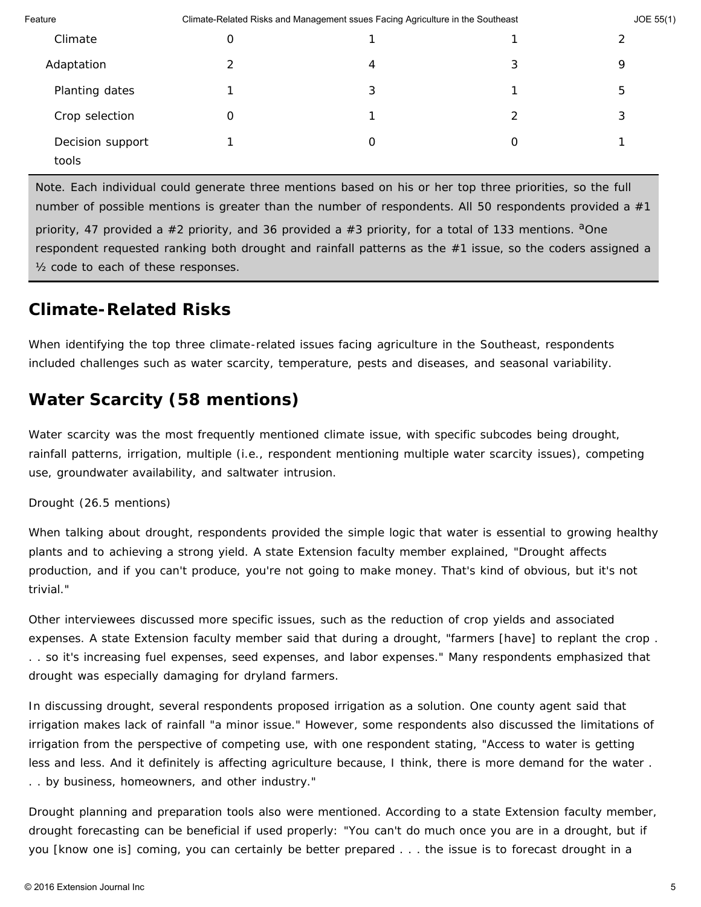| Feature          | Climate-Related Risks and Management ssues Facing Agriculture in the Southeast |   |   | JOE 55(1) |  |
|------------------|--------------------------------------------------------------------------------|---|---|-----------|--|
| Climate          | O                                                                              |   |   | ⌒         |  |
| Adaptation       |                                                                                | 4 | 3 | 9         |  |
| Planting dates   |                                                                                | 3 |   | 5         |  |
| Crop selection   | 0                                                                              |   | 2 | 3         |  |
| Decision support |                                                                                | O | 0 |           |  |
| tools            |                                                                                |   |   |           |  |

*Note.* Each individual could generate three mentions based on his or her top three priorities, so the full number of possible mentions is greater than the number of respondents. All 50 respondents provided a  $#1$ 

priority, 47 provided a #2 priority, and 36 provided a #3 priority, for a total of 133 mentions. <sup>a</sup>One respondent requested ranking both drought and rainfall patterns as the #1 issue, so the coders assigned a ½ code to each of these responses.

# **Climate-Related Risks**

When identifying the top three climate-related issues facing agriculture in the Southeast, respondents included challenges such as water scarcity, temperature, pests and diseases, and seasonal variability.

# *Water Scarcity (58 mentions)*

Water scarcity was the most frequently mentioned climate issue, with specific subcodes being drought, rainfall patterns, irrigation, multiple (i.e., respondent mentioning multiple water scarcity issues), competing use, groundwater availability, and saltwater intrusion.

#### *Drought (26.5 mentions)*

When talking about drought, respondents provided the simple logic that water is essential to growing healthy plants and to achieving a strong yield. A state Extension faculty member explained, "Drought affects production, and if you can't produce, you're not going to make money. That's kind of obvious, but it's not trivial."

Other interviewees discussed more specific issues, such as the reduction of crop yields and associated expenses. A state Extension faculty member said that during a drought, "farmers [have] to replant the crop . . . so it's increasing fuel expenses, seed expenses, and labor expenses." Many respondents emphasized that drought was especially damaging for dryland farmers.

In discussing drought, several respondents proposed irrigation as a solution. One county agent said that irrigation makes lack of rainfall "a minor issue." However, some respondents also discussed the limitations of irrigation from the perspective of competing use, with one respondent stating, "Access to water is getting less and less. And it definitely is affecting agriculture because, I think, there is more demand for the water . . . by business, homeowners, and other industry."

Drought planning and preparation tools also were mentioned. According to a state Extension faculty member, drought forecasting can be beneficial if used properly: "You can't do much once you are in a drought, but if you [know one is] coming, you can certainly be better prepared . . . the issue is to forecast drought in a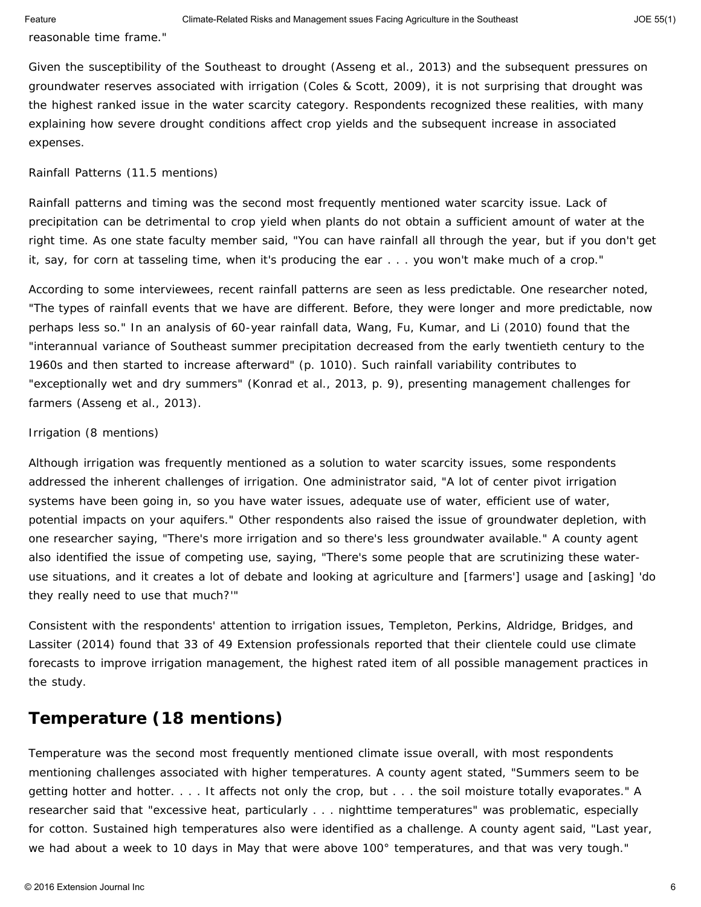reasonable time frame."

Given the susceptibility of the Southeast to drought (Asseng et al., 2013) and the subsequent pressures on groundwater reserves associated with irrigation (Coles & Scott, 2009), it is not surprising that drought was the highest ranked issue in the water scarcity category. Respondents recognized these realities, with many explaining how severe drought conditions affect crop yields and the subsequent increase in associated expenses.

#### *Rainfall Patterns (11.5 mentions)*

Rainfall patterns and timing was the second most frequently mentioned water scarcity issue. Lack of precipitation can be detrimental to crop yield when plants do not obtain a sufficient amount of water at the right time. As one state faculty member said, "You can have rainfall all through the year, but if you don't get it, say, for corn at tasseling time, when it's producing the ear . . . you won't make much of a crop."

According to some interviewees, recent rainfall patterns are seen as less predictable. One researcher noted, "The types of rainfall events that we have are different. Before, they were longer and more predictable, now perhaps less so." In an analysis of 60-year rainfall data, Wang, Fu, Kumar, and Li (2010) found that the "interannual variance of Southeast summer precipitation decreased from the early twentieth century to the 1960s and then started to increase afterward" (p. 1010). Such rainfall variability contributes to "exceptionally wet and dry summers" (Konrad et al., 2013, p. 9), presenting management challenges for farmers (Asseng et al., 2013).

#### *Irrigation (8 mentions)*

Although irrigation was frequently mentioned as a solution to water scarcity issues, some respondents addressed the inherent challenges of irrigation. One administrator said, "A lot of center pivot irrigation systems have been going in, so you have water issues, adequate use of water, efficient use of water, potential impacts on your aquifers." Other respondents also raised the issue of groundwater depletion, with one researcher saying, "There's more irrigation and so there's less groundwater available." A county agent also identified the issue of competing use, saying, "There's some people that are scrutinizing these wateruse situations, and it creates a lot of debate and looking at agriculture and [farmers'] usage and [asking] 'do they really need to use that much?'"

Consistent with the respondents' attention to irrigation issues, Templeton, Perkins, Aldridge, Bridges, and Lassiter (2014) found that 33 of 49 Extension professionals reported that their clientele could use climate forecasts to improve irrigation management, the highest rated item of all possible management practices in the study.

### *Temperature (18 mentions)*

Temperature was the second most frequently mentioned climate issue overall, with most respondents mentioning challenges associated with higher temperatures. A county agent stated, "Summers seem to be getting hotter and hotter. . . . It affects not only the crop, but . . . the soil moisture totally evaporates." A researcher said that "excessive heat, particularly . . . nighttime temperatures" was problematic, especially for cotton. Sustained high temperatures also were identified as a challenge. A county agent said, "Last year, we had about a week to 10 days in May that were above 100° temperatures, and that was very tough."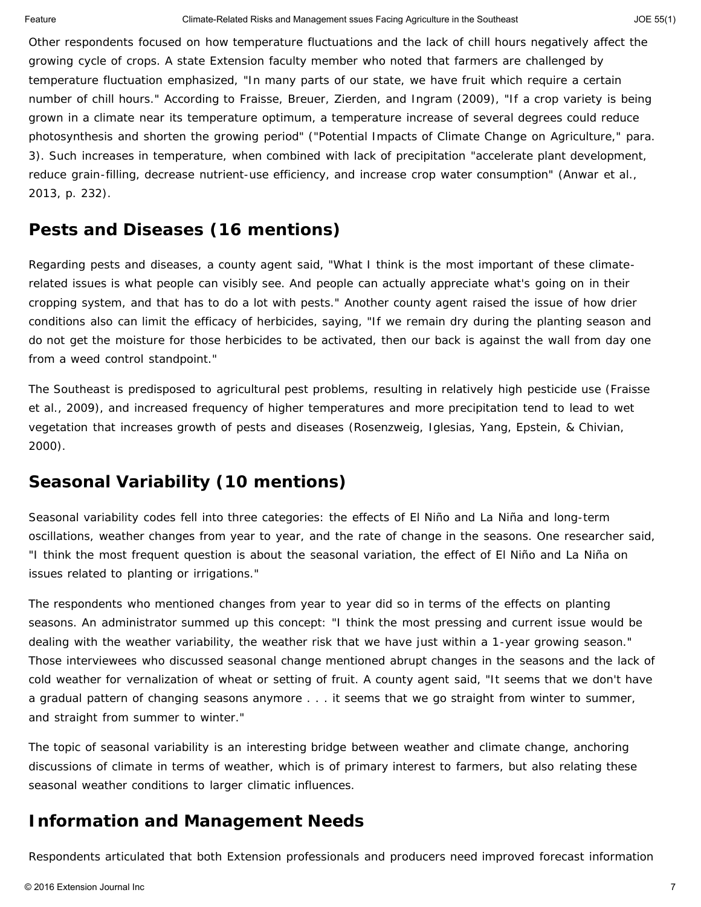Other respondents focused on how temperature fluctuations and the lack of chill hours negatively affect the growing cycle of crops. A state Extension faculty member who noted that farmers are challenged by temperature fluctuation emphasized, "In many parts of our state, we have fruit which require a certain number of chill hours." According to Fraisse, Breuer, Zierden, and Ingram (2009), "If a crop variety is being grown in a climate near its temperature optimum, a temperature increase of several degrees could reduce photosynthesis and shorten the growing period" ("Potential Impacts of Climate Change on Agriculture," para. 3). Such increases in temperature, when combined with lack of precipitation "accelerate plant development, reduce grain-filling, decrease nutrient-use efficiency, and increase crop water consumption" (Anwar et al., 2013, p. 232).

## *Pests and Diseases (16 mentions)*

Regarding pests and diseases, a county agent said, "What I think is the most important of these climaterelated issues is what people can visibly see. And people can actually appreciate what's going on in their cropping system, and that has to do a lot with pests." Another county agent raised the issue of how drier conditions also can limit the efficacy of herbicides, saying, "If we remain dry during the planting season and do not get the moisture for those herbicides to be activated, then our back is against the wall from day one from a weed control standpoint."

The Southeast is predisposed to agricultural pest problems, resulting in relatively high pesticide use (Fraisse et al., 2009), and increased frequency of higher temperatures and more precipitation tend to lead to wet vegetation that increases growth of pests and diseases (Rosenzweig, Iglesias, Yang, Epstein, & Chivian, 2000).

## *Seasonal Variability (10 mentions)*

Seasonal variability codes fell into three categories: the effects of El Niño and La Niña and long-term oscillations, weather changes from year to year, and the rate of change in the seasons. One researcher said, "I think the most frequent question is about the seasonal variation, the effect of El Niño and La Niña on issues related to planting or irrigations."

The respondents who mentioned changes from year to year did so in terms of the effects on planting seasons. An administrator summed up this concept: "I think the most pressing and current issue would be dealing with the weather variability, the weather risk that we have just within a 1-year growing season." Those interviewees who discussed seasonal change mentioned abrupt changes in the seasons and the lack of cold weather for vernalization of wheat or setting of fruit. A county agent said, "It seems that we don't have a gradual pattern of changing seasons anymore . . . it seems that we go straight from winter to summer, and straight from summer to winter."

The topic of seasonal variability is an interesting bridge between weather and climate change, anchoring discussions of climate in terms of weather, which is of primary interest to farmers, but also relating these seasonal weather conditions to larger climatic influences.

## **Information and Management Needs**

Respondents articulated that both Extension professionals and producers need improved forecast information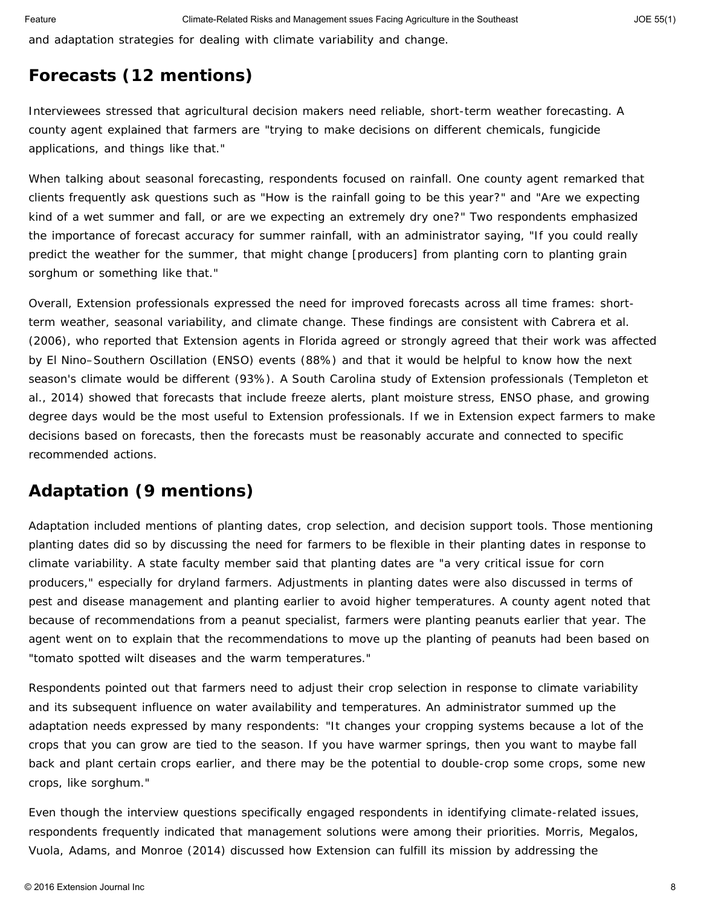and adaptation strategies for dealing with climate variability and change.

## *Forecasts (12 mentions)*

Interviewees stressed that agricultural decision makers need reliable, short-term weather forecasting. A county agent explained that farmers are "trying to make decisions on different chemicals, fungicide applications, and things like that."

When talking about seasonal forecasting, respondents focused on rainfall. One county agent remarked that clients frequently ask questions such as "How is the rainfall going to be this year?" and "Are we expecting kind of a wet summer and fall, or are we expecting an extremely dry one?" Two respondents emphasized the importance of forecast accuracy for summer rainfall, with an administrator saying, "If you could really predict the weather for the summer, that might change [producers] from planting corn to planting grain sorghum or something like that."

Overall, Extension professionals expressed the need for improved forecasts across all time frames: shortterm weather, seasonal variability, and climate change. These findings are consistent with Cabrera et al. (2006), who reported that Extension agents in Florida agreed or strongly agreed that their work was affected by El Nino–Southern Oscillation (ENSO) events (88%) and that it would be helpful to know how the next season's climate would be different (93%). A South Carolina study of Extension professionals (Templeton et al., 2014) showed that forecasts that include freeze alerts, plant moisture stress, ENSO phase, and growing degree days would be the most useful to Extension professionals. If we in Extension expect farmers to make decisions based on forecasts, then the forecasts must be reasonably accurate and connected to specific recommended actions.

## *Adaptation (9 mentions)*

Adaptation included mentions of planting dates, crop selection, and decision support tools. Those mentioning planting dates did so by discussing the need for farmers to be flexible in their planting dates in response to climate variability. A state faculty member said that planting dates are "a very critical issue for corn producers," especially for dryland farmers. Adjustments in planting dates were also discussed in terms of pest and disease management and planting earlier to avoid higher temperatures. A county agent noted that because of recommendations from a peanut specialist, farmers were planting peanuts earlier that year. The agent went on to explain that the recommendations to move up the planting of peanuts had been based on "tomato spotted wilt diseases and the warm temperatures."

Respondents pointed out that farmers need to adjust their crop selection in response to climate variability and its subsequent influence on water availability and temperatures. An administrator summed up the adaptation needs expressed by many respondents: "It changes your cropping systems because a lot of the crops that you can grow are tied to the season. If you have warmer springs, then you want to maybe fall back and plant certain crops earlier, and there may be the potential to double-crop some crops, some new crops, like sorghum."

Even though the interview questions specifically engaged respondents in identifying climate-related issues, respondents frequently indicated that management solutions were among their priorities. Morris, Megalos, Vuola, Adams, and Monroe (2014) discussed how Extension can fulfill its mission by addressing the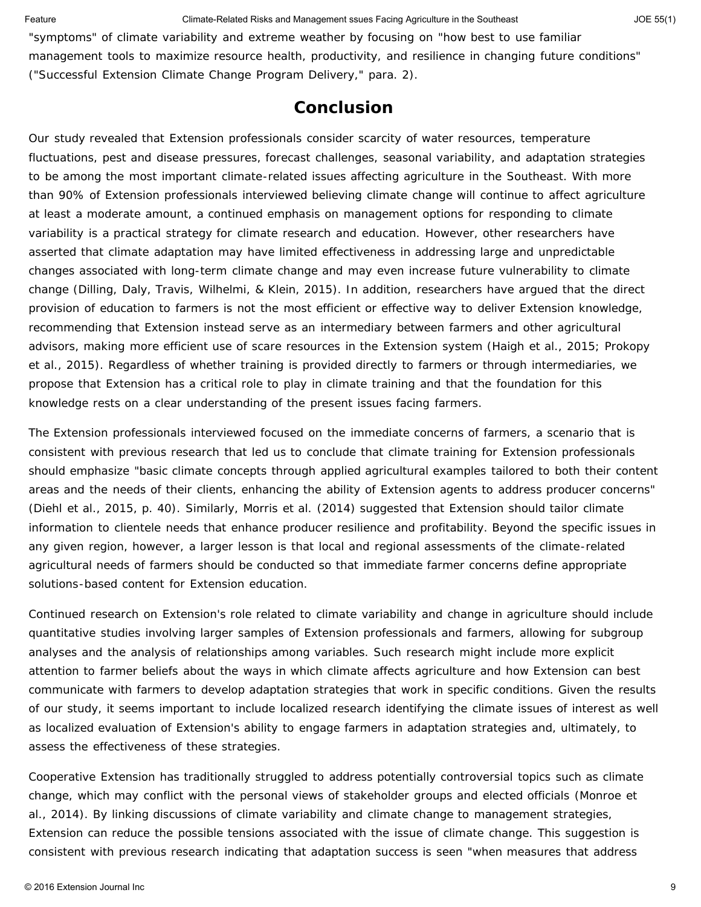"symptoms" of climate variability and extreme weather by focusing on "how best to use familiar management tools to maximize resource health, productivity, and resilience in changing future conditions" ("Successful Extension Climate Change Program Delivery," para. 2).

### **Conclusion**

Our study revealed that Extension professionals consider scarcity of water resources, temperature fluctuations, pest and disease pressures, forecast challenges, seasonal variability, and adaptation strategies to be among the most important climate-related issues affecting agriculture in the Southeast. With more than 90% of Extension professionals interviewed believing climate change will continue to affect agriculture at least a moderate amount, a continued emphasis on management options for responding to climate variability is a practical strategy for climate research and education. However, other researchers have asserted that climate adaptation may have limited effectiveness in addressing large and unpredictable changes associated with long-term climate change and may even increase future vulnerability to climate change (Dilling, Daly, Travis, Wilhelmi, & Klein, 2015). In addition, researchers have argued that the direct provision of education to farmers is not the most efficient or effective way to deliver Extension knowledge, recommending that Extension instead serve as an intermediary between farmers and other agricultural advisors, making more efficient use of scare resources in the Extension system (Haigh et al., 2015; Prokopy et al., 2015). Regardless of whether training is provided directly to farmers or through intermediaries, we propose that Extension has a critical role to play in climate training and that the foundation for this knowledge rests on a clear understanding of the present issues facing farmers.

The Extension professionals interviewed focused on the immediate concerns of farmers, a scenario that is consistent with previous research that led us to conclude that climate training for Extension professionals should emphasize "basic climate concepts through applied agricultural examples tailored to both their content areas and the needs of their clients, enhancing the ability of Extension agents to address producer concerns" (Diehl et al., 2015, p. 40). Similarly, Morris et al. (2014) suggested that Extension should tailor climate information to clientele needs that enhance producer resilience and profitability. Beyond the specific issues in any given region, however, a larger lesson is that local and regional assessments of the climate-related agricultural needs of farmers should be conducted so that immediate farmer concerns define appropriate solutions-based content for Extension education.

Continued research on Extension's role related to climate variability and change in agriculture should include quantitative studies involving larger samples of Extension professionals and farmers, allowing for subgroup analyses and the analysis of relationships among variables. Such research might include more explicit attention to farmer beliefs about the ways in which climate affects agriculture and how Extension can best communicate with farmers to develop adaptation strategies that work in specific conditions. Given the results of our study, it seems important to include localized research identifying the climate issues of interest as well as localized evaluation of Extension's ability to engage farmers in adaptation strategies and, ultimately, to assess the effectiveness of these strategies.

Cooperative Extension has traditionally struggled to address potentially controversial topics such as climate change, which may conflict with the personal views of stakeholder groups and elected officials (Monroe et al., 2014). By linking discussions of climate variability and climate change to management strategies, Extension can reduce the possible tensions associated with the issue of climate change. This suggestion is consistent with previous research indicating that adaptation success is seen "when measures that address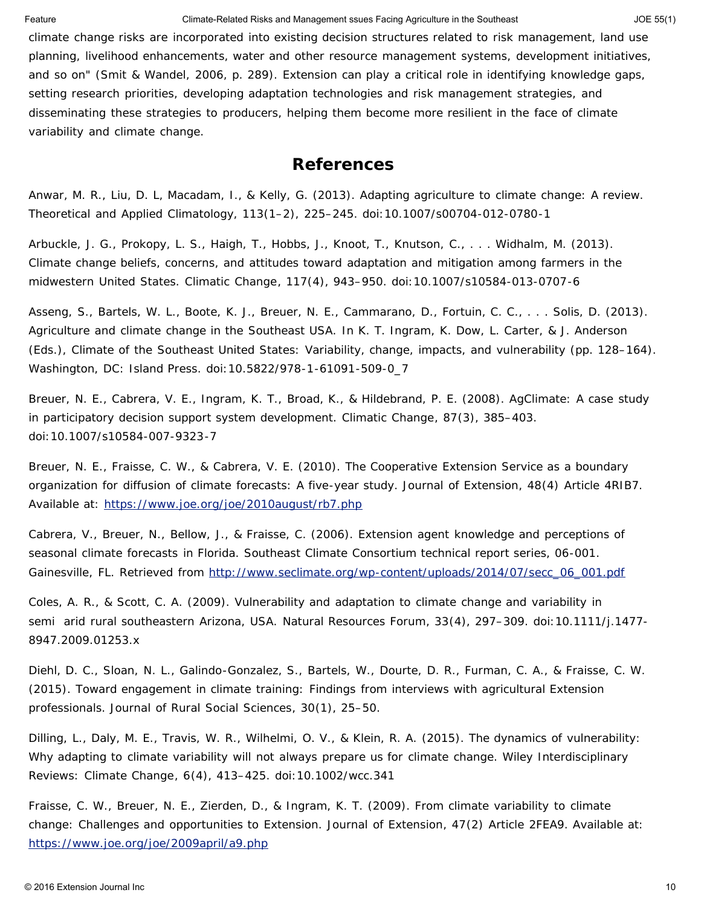Feature **Climate-Related Risks and Management ssues Facing Agriculture in the Southeast** JOE 55(1)

climate change risks are incorporated into existing decision structures related to risk management, land use planning, livelihood enhancements, water and other resource management systems, development initiatives, and so on" (Smit & Wandel, 2006, p. 289). Extension can play a critical role in identifying knowledge gaps, setting research priorities, developing adaptation technologies and risk management strategies, and disseminating these strategies to producers, helping them become more resilient in the face of climate variability and climate change.

#### **References**

Anwar, M. R., Liu, D. L, Macadam, I., & Kelly, G. (2013). Adapting agriculture to climate change: A review. *Theoretical and Applied Climatology, 113*(1–2), 225–245. doi:10.1007/s00704-012-0780-1

Arbuckle, J. G., Prokopy, L. S., Haigh, T., Hobbs, J., Knoot, T., Knutson, C., . . . Widhalm, M. (2013). Climate change beliefs, concerns, and attitudes toward adaptation and mitigation among farmers in the midwestern United States. *Climatic Change*, *117*(4), 943–950. doi:10.1007/s10584-013-0707-6

Asseng, S., Bartels, W. L., Boote, K. J., Breuer, N. E., Cammarano, D., Fortuin, C. C., . . . Solis, D. (2013). Agriculture and climate change in the Southeast USA. In K. T. Ingram, K. Dow, L. Carter, & J. Anderson (Eds.), *Climate of the Southeast United States: Variability, change, impacts, and vulnerability* (pp. 128–164). Washington, DC: Island Press. doi:10.5822/978-1-61091-509-0\_7

Breuer, N. E., Cabrera, V. E., Ingram, K. T., Broad, K., & Hildebrand, P. E. (2008). AgClimate: A case study in participatory decision support system development. *Climatic Change*, *87*(3), 385–403. doi:10.1007/s10584-007-9323-7

Breuer, N. E., Fraisse, C. W., & Cabrera, V. E. (2010). The Cooperative Extension Service as a boundary organization for diffusion of climate forecasts: A five-year study. *Journal of Extension*, *48*(4) Article 4RIB7. Available at: <https://www.joe.org/joe/2010august/rb7.php>

Cabrera, V., Breuer, N., Bellow, J., & Fraisse, C. (2006). Extension agent knowledge and perceptions of seasonal climate forecasts in Florida*. Southeast Climate Consortium technical report series, 06-001*. Gainesville, FL. Retrieved from [http://www.seclimate.org/wp-content/uploads/2014/07/secc\\_06\\_001.pdf](http://www.seclimate.org/wp-content/uploads/2014/07/secc_06_001.pdf)

Coles, A. R., & Scott, C. A. (2009). Vulnerability and adaptation to climate change and variability in semi arid rural southeastern Arizona, USA. *Natural Resources Forum*, *33*(4), 297–309. doi:10.1111/j.1477- 8947.2009.01253.x

Diehl, D. C., Sloan, N. L., Galindo-Gonzalez, S., Bartels, W., Dourte, D. R., Furman, C. A., & Fraisse, C. W. (2015). Toward engagement in climate training: Findings from interviews with agricultural Extension professionals. *Journal of Rural Social Sciences*, *30*(1), 25–50.

Dilling, L., Daly, M. E., Travis, W. R., Wilhelmi, O. V., & Klein, R. A. (2015). The dynamics of vulnerability: Why adapting to climate variability will not always prepare us for climate change. *Wiley Interdisciplinary Reviews: Climate Change*, *6*(4), 413–425. doi:10.1002/wcc.341

Fraisse, C. W., Breuer, N. E., Zierden, D., & Ingram, K. T. (2009). From climate variability to climate change: Challenges and opportunities to Extension. *Journal of Extension*, *47*(2) Article 2FEA9. Available at: <https://www.joe.org/joe/2009april/a9.php>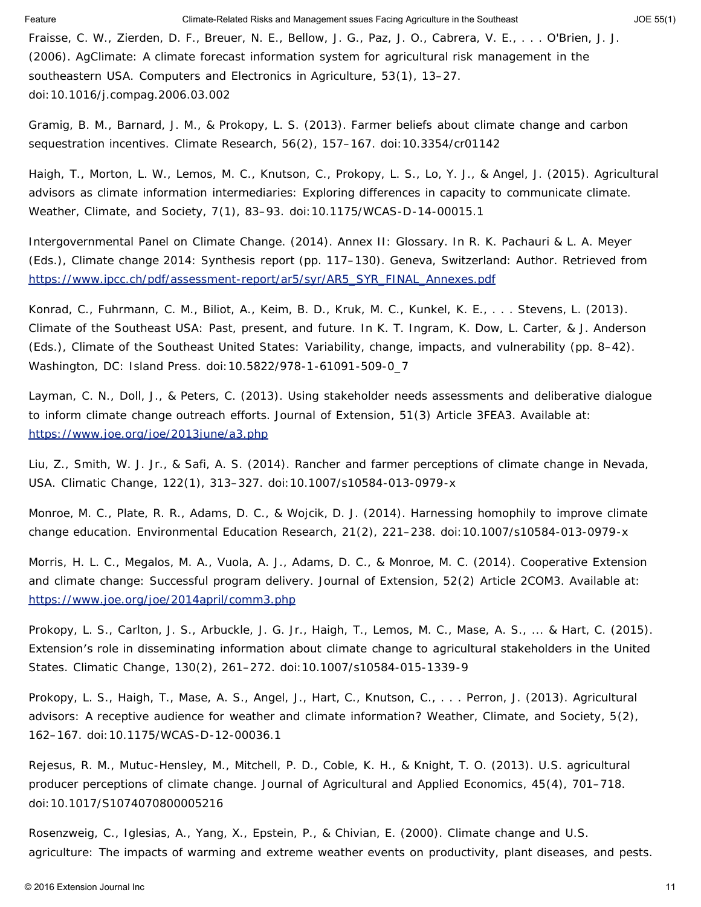Fraisse, C. W., Zierden, D. F., Breuer, N. E., Bellow, J. G., Paz, J. O., Cabrera, V. E., . . . O'Brien, J. J. (2006). AgClimate: A climate forecast information system for agricultural risk management in the southeastern USA. *Computers and Electronics in Agriculture*, *53*(1), 13–27. doi:10.1016/j.compag.2006.03.002

Gramig, B. M., Barnard, J. M., & Prokopy, L. S. (2013). Farmer beliefs about climate change and carbon sequestration incentives. *Climate Research*, *56*(2), 157–167. doi:10.3354/cr01142

Haigh, T., Morton, L. W., Lemos, M. C., Knutson, C., Prokopy, L. S., Lo, Y. J., & Angel, J. (2015). Agricultural advisors as climate information intermediaries: Exploring differences in capacity to communicate climate. *Weather, Climate, and Society*, *7*(1), 83–93. doi:10.1175/WCAS-D-14-00015.1

Intergovernmental Panel on Climate Change. (2014). Annex II: Glossary. In R. K. Pachauri & L. A. Meyer (Eds.), *Climate change 2014: Synthesis report* (pp. 117–130). Geneva, Switzerland: Author. Retrieved from [https://www.ipcc.ch/pdf/assessment-report/ar5/syr/AR5\\_SYR\\_FINAL\\_Annexes.pdf](https://www.ipcc.ch/pdf/assessment-report/ar5/syr/AR5_SYR_FINAL_Annexes.pdf)

Konrad, C., Fuhrmann, C. M., Biliot, A., Keim, B. D., Kruk, M. C., Kunkel, K. E., . . . Stevens, L. (2013). Climate of the Southeast USA: Past, present, and future. In K. T. Ingram, K. Dow, L. Carter, & J. Anderson (Eds.), *Climate of the Southeast United States: Variability, change, impacts, and vulnerability (pp. 8–42).* Washington, DC: Island Press. doi:10.5822/978-1-61091-509-0\_7

Layman, C. N., Doll, J., & Peters, C. (2013). Using stakeholder needs assessments and deliberative dialogue to inform climate change outreach efforts. *Journal of Extension*, *51*(3) Article 3FEA3. Available at: <https://www.joe.org/joe/2013june/a3.php>

Liu, Z., Smith, W. J. Jr., & Safi, A. S. (2014). Rancher and farmer perceptions of climate change in Nevada, USA. *Climatic Change*, *122*(1), 313–327. doi:10.1007/s10584-013-0979-x

Monroe, M. C., Plate, R. R., Adams, D. C., & Wojcik, D. J. (2014). Harnessing homophily to improve climate change education. *Environmental Education Research*, *21*(2), 221–238. doi:10.1007/s10584-013-0979-x

Morris, H. L. C., Megalos, M. A., Vuola, A. J., Adams, D. C., & Monroe, M. C. (2014). Cooperative Extension and climate change: Successful program delivery. *Journal of Extension*, *52*(2) Article 2COM3. Available at: <https://www.joe.org/joe/2014april/comm3.php>

Prokopy, L. S., Carlton, J. S., Arbuckle, J. G. Jr., Haigh, T., Lemos, M. C., Mase, A. S., ... & Hart, C. (2015). Extension′s role in disseminating information about climate change to agricultural stakeholders in the United States. *Climatic Change*, *130*(2), 261–272. doi:10.1007/s10584-015-1339-9

Prokopy, L. S., Haigh, T., Mase, A. S., Angel, J., Hart, C., Knutson, C., . . . Perron, J. (2013). Agricultural advisors: A receptive audience for weather and climate information? *Weather, Climate, and Society*, *5*(2), 162–167. doi:10.1175/WCAS-D-12-00036.1

Rejesus, R. M., Mutuc-Hensley, M., Mitchell, P. D., Coble, K. H., & Knight, T. O. (2013). U.S. agricultural producer perceptions of climate change. *Journal of Agricultural and Applied Economics*, *45*(4), 701–718. doi:10.1017/S1074070800005216

Rosenzweig, C., Iglesias, A., Yang, X., Epstein, P., & Chivian, E. (2000). *Climate change and U.S. agriculture: The impacts of warming and extreme weather events on productivity, plant diseases, and pests.*